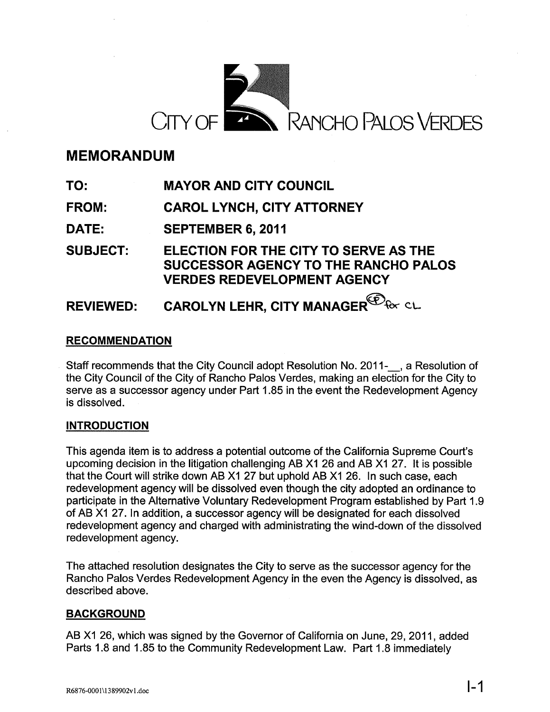

# **MEMORANDUM**

**TO: MAYOR AND CITY COUNCIL**

**FROM: CAROL LYNCH, CITY ATTORNEY**

**DATE: SEPTEMBER 6, 2011**

**SUBJECT: ELECTION FOR THE CITY TO SERVE AS THE SUCCESSOR AGENCY TO THE RANCHO PALOS VERDES REDEVELOPMENT AGENCY**

#### **REVIEWED: CAROLYN LEHR, CITY MANAGER**<sup>CO</sup>for CL

# **RECOMMENDATION**

Staff recommends that the City Council adopt Resolution No. 2011-<br>
<sub>s</sub>, a Resolution of the City Council of the City of Rancho Palos Verdes, making an election for the City to serve as a successor agency under Part 1.85 in the event the Redevelopment Agency is dissolved.

# **INTRODUCTION**

This agenda item is to address a potential outcome of the California Supreme Court's upcoming decision in the litigation challenging AS X1 26 and AS X1 27. It is possible that the Court will strike down AS X1 27 but uphold AS X1 26. In such case, each redevelopment agency will be dissolved even though the city adopted an ordinance to participate in the Alternative Voluntary Redevelopment Program established by Part 1.9 of AS X1 27. In addition, a successor agency will be designated for each dissolved redevelopment agency and charged with administrating the wind-down of the dissolved redevelopment agency.

The attached resolution designates the City to serve as the successor agency for the Rancho Palos Verdes Redevelopment Agency in the even the Agency is dissolved, as described above.

## **BACKGROUND**

AS X1 26, which was signed by the Governor of California on June, 29, 2011, added Parts 1.8 and 1.85 to the Community Redevelopment Law. Part 1.8 immediately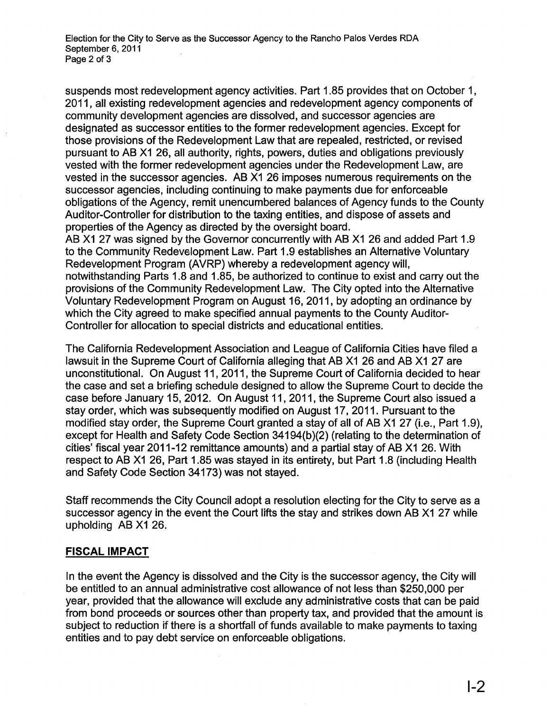Election for the City to Serve as the Successor Agency to the Rancho Palos Verdes RDA September 6, 2011 Page 2 of 3

suspends most redevelopment agency activities. Part 1.85 provides that on October 1, 2011, all existing redevelopment agencies and redevelopment agency components of community development agencies are dissolved, and successor agencies are designated as successor entities to the former redevelopment agencies. Except for those provisions of the Redevelopment Law that are repealed, restricted, or revised pursuant to AS X1 26, all authority, rights, powers, duties and obligations previously vested with the former redevelopment agencies under the Redevelopment Law, are vested in the successor agencies. AS X1 26 imposes numerous requirements on the successor agencies, including continuing to make payments due for enforceable obligations of the Agency, remit unencumbered balances of Agency funds to the County Auditor-Controller for distribution to the taxing entities, and dispose of assets and properties of the Agency as directed by the oversight board.

AB X1 27 was signed by the Governor concurrently with AB X1 26 and added Part 1.9 to the Community Redevelopment Law. Part 1.9 establishes an Alternative Voluntary Redevelopment Program (AVRP) whereby a redevelopment agency will, notwithstanding Parts 1.8 and 1.85, be authorized to continue to exist and carry out the provisions of the Community Redevelopment Law. The City opted into the Alternative Voluntary Redevelopment Program on August 16, 2011, by adopting an ordinance by which the City agreed to make specified annual payments to the County Auditor-Controller for allocation to special districts and educational entities.

The California Redevelopment Association and League of California Cities have filed a lawsuit in the Supreme Court of California alleging that AB X1 26 and AB X1 27 are unconstitutional. On August 11, 2011, the Supreme Court of California decided to hear the case and set a briefing schedule designed to allow the Supreme Court to decide the case before January 15, 2012. On August 11, 2011, the Supreme Court also issued a stay order, which was subsequently modified on August 17, 2011. Pursuant to the modified stay order, the Supreme Court granted a stay of all of AB X1 27 (i.e., Part 1.9), except for Health and Safety Code Section 34194(b)(2) (relating to the determination of cities' fiscal year 2011-12 remittance amounts) and a partial stay of AS X1 26. With respect to AS X1 26, Part 1.85 was stayed in its entirety, but Part 1.8 (including Health and Safety Code Section 34173) was not stayed.

Staff recommends the City Council adopt a resolution electing for the City to serve as a successor agency in the event the Court lifts the stay and strikes down AB X1 27 while upholding AS X1 26.

#### **FISCAL IMPACT**

In the event the Agency is dissolved and the City is the successor agency, the City will be entitled to an annual administrative cost allowance of not less than \$250,000 per year, provided that the allowance will exclude any administrative costs that can be paid from bond proceeds or sources other than property tax, and provided that the amount is subject to reduction if there is a shortfall of funds available to make payments to taxing entities and to pay debt service on enforceable obligations.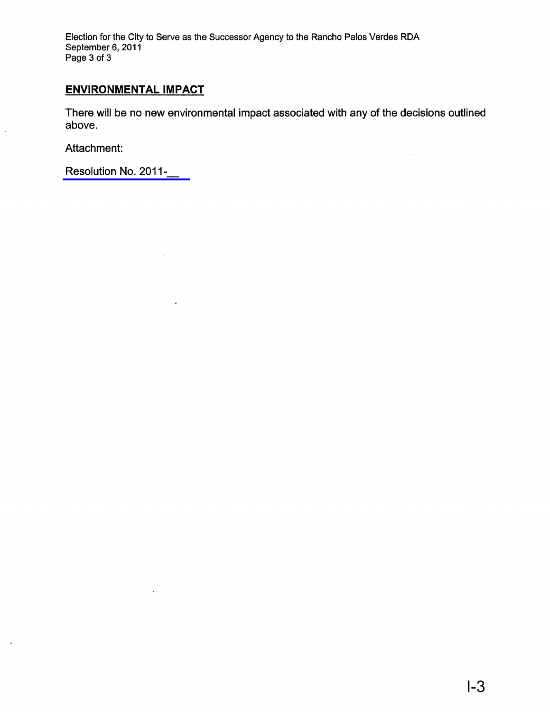Election for the City to Serve as the Successor Agency to the Rancho Palos Verdes RDA September 6, 2011 Page 3 of 3

# **ENVIRONMENTAL IMPACT**

There will be no new environmental impact associated with any of the decisions outlined above.

Attachment:

 $\ddot{\phantom{a}}$ 

[Resolution](#page-3-0) No. 2011-\_

 $\ddot{\phantom{0}}$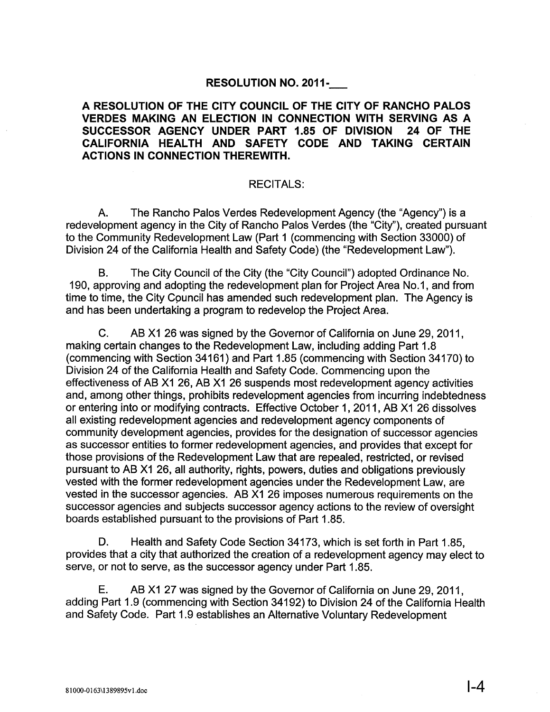## **RESOLUTION NO. 2011-\_**

## <span id="page-3-0"></span>**A RESOLUTION OF THE CITY COUNCIL OF THE CITY OF RANCHO PALOS VERDES MAKING AN ELECTION IN CONNECTION WITH SERVING AS A SUCCESSOR AGENCY UNDER PART 1.85 OF DIVISION 24 OF THE CALIFORNIA HEALTH AND SAFETY CODE AND TAKING CERTAIN ACTIONS IN CONNECTION THEREWITH.**

#### RECITALS:

A. The Rancho Palos Verdes Redevelopment Agency (the "Agency") is a redevelopment agency in the City of Rancho Palos Verdes (the "City"), created pursuant to the Community Redevelopment Law (Part 1 (commencing with Section 33000) of Division 24 of the California Health and Safety Code) (the "Redevelopment Law").

B. The City Council of the City (the "City Council") adopted Ordinance No. 190, approving and adopting the redevelopment plan for Project Area No.1, and from time to time, the City Council has amended such redevelopment plan. The Agency is and has been undertaking a program to redevelop the Project Area.

C. AS X1 26 was signed by the Governor of California on June 29, 2011, making certain changes to the Redevelopment Law, including adding Part 1.8 (commencing with Section 34161) and Part 1.85 (commencing with Section 34170) to Division 24 of the California Health and Safety Code. Commencing upon the effectiveness of AB X1 26, AB X1 26 suspends most redevelopment agency activities and, among other things, prohibits redevelopment agencies from incurring indebtedness or entering into or modifying contracts. Effective October 1,2011, AS X1 26 dissolves all existing redevelopment agencies and redevelopment agency components of community development agencies, provides for the designation of successor agencies as successor entities to former redevelopment agencies, and provides that except for those provisions of the Redevelopment Law that are repealed, restricted, or revised pursuant to AS X1 26, all authority, rights, powers, duties and obligations previously vested with the former redevelopment agencies under the Redevelopment Law, are vested in the successor agencies. AS X1 26 imposes numerous requirements on the successor agencies and subjects successor agency actions to the review of oversight boards established pursuant to the provisions of Part 1.85.

D. Health and Safety Code Section 34173, which is set forth in Part 1.85, provides that a city that authorized the creation of a redevelopment agency may elect to serve, or not to serve, as the successor agency under Part 1.85.

E. AS X1 27 was signed by the Governor of California on June 29, 2011, adding Part 1.9 (commencing with Section 34192) to Division 24 of the California Health and Safety Code. Part 1.9 establishes an Alternative Voluntary Redevelopment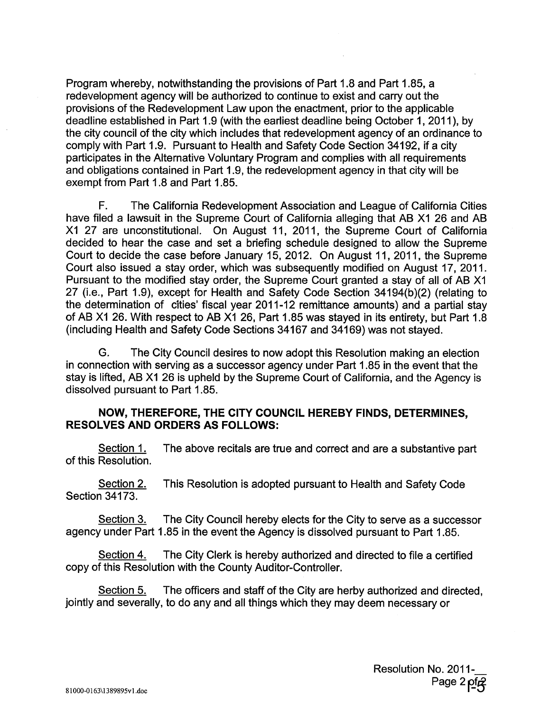Program whereby, notwithstanding the provisions of Part 1.8 and Part 1.85, a redevelopment agency will be authorized to continue to exist and carry out the provisions of the Redevelopment Law upon the enactment, prior to the applicable deadline established in Part 1.9 (with the earliest deadline being October 1, 2011), by the city council of the city which includes that redevelopment agency of an ordinance to comply with Part 1.9. Pursuant to Health and Safety Code Section 34192, if a city participates in the Alternative Voluntary Program and complies with all requirements and obligations contained in Part 1.9, the redevelopment agency in that city will be exempt from Part 1.8 and Part 1.85.

F. The California Redevelopment Association and League of California Cities have filed a lawsuit in the Supreme Court of California alleging that AB X1 26 and AB X1 27 are unconstitutional. On August 11, 2011, the Supreme Court of California decided to hear the case and set a briefing schedule designed to allow the Supreme Court to decide the case before January 15, 2012. On August 11, 2011, the Supreme Court also issued a stay order, which was subsequently modified on August 17, 2011. Pursuant to the modified stay order, the Supreme Court granted a stay of all of AS X1 27 (i.e., Part 1.9), except for Health and Safety Code Section 34194(b)(2) (relating to the determination of cities' fiscal year 2011-12 remittance amounts) and a partial stay of AS X1 26. With respect to AS X1 26, Part 1.85 was stayed in its entirety, but Part 1.8 (including Health and Safety Code Sections 34167 and 34169) was not stayed.

G. The City Council desires to now adopt this Resolution making an election in connection with serving as a successor agency under Part 1.85 in the event that the stay is lifted, AB X1 26 is upheld by the Supreme Court of California, and the Agency is dissolved pursuant to Part 1.85.

### **NOW, THEREFORE, THE CITY COUNCIL HEREBY FINDS, DETERMINES, RESOLVES AND ORDERS AS FOLLOWS:**

Section 1. The above recitals are true and correct and are a substantive part of this Resolution.

Section 2. This Resolution is adopted pursuant to Health and Safety Code Section 34173.

Section 3. The City Council hereby elects for the City to serve as a successor agency under Part 1.85 in the event the Agency is dissolved pursuant to Part 1.85.

Section 4. The City Clerk is hereby authorized and directed to file a certified copy of this Resolution with the County Auditor-Controller.

Section 5. The officers and staff of the City are herby authorized and directed, jointly and severally, to do any and all things which they may deem necessary or